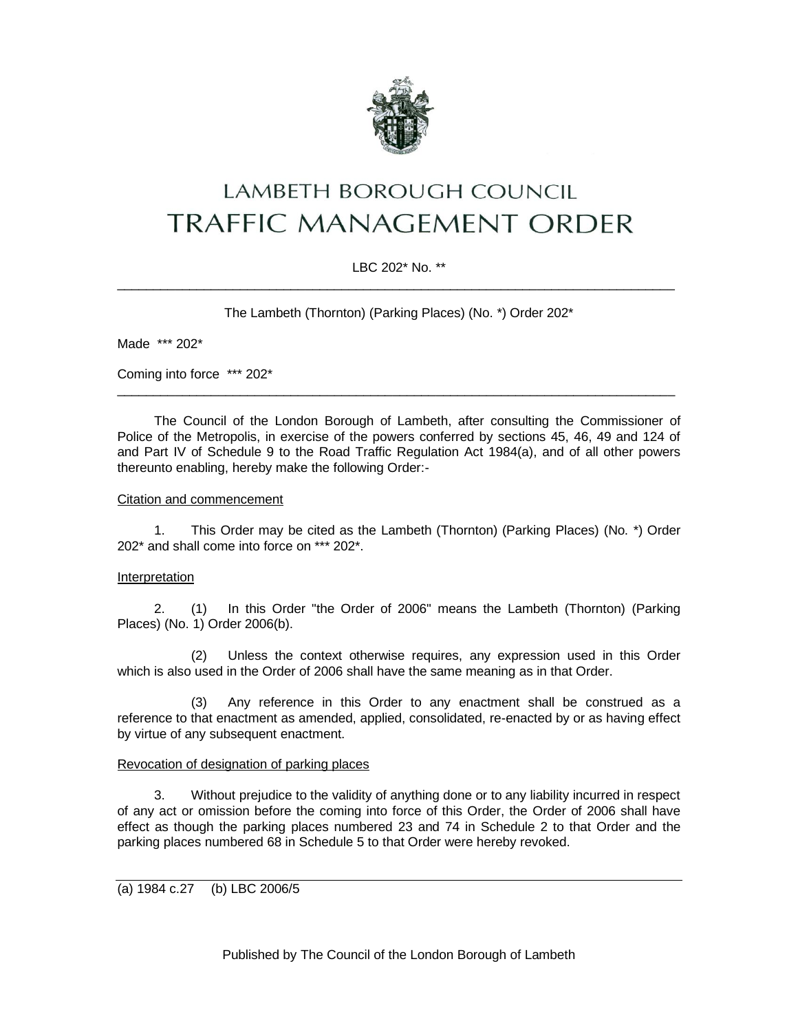

# LAMBETH BOROUGH COUNCIL **TRAFFIC MANAGEMENT ORDER**

# LBC 202\* No. \*\*  $\_$  ,  $\_$  ,  $\_$  ,  $\_$  ,  $\_$  ,  $\_$  ,  $\_$  ,  $\_$  ,  $\_$  ,  $\_$  ,  $\_$  ,  $\_$  ,  $\_$  ,  $\_$  ,  $\_$  ,  $\_$  ,  $\_$  ,  $\_$  ,  $\_$  ,  $\_$  ,  $\_$  ,  $\_$  ,  $\_$  ,  $\_$  ,  $\_$  ,  $\_$  ,  $\_$  ,  $\_$  ,  $\_$  ,  $\_$  ,  $\_$  ,  $\_$  ,  $\_$  ,  $\_$  ,  $\_$  ,  $\_$  ,  $\_$  ,

The Lambeth (Thornton) (Parking Places) (No. \*) Order 202\*

Made \*\*\* 202\*

Coming into force \*\*\* 202\*

The Council of the London Borough of Lambeth, after consulting the Commissioner of Police of the Metropolis, in exercise of the powers conferred by sections 45, 46, 49 and 124 of and Part IV of Schedule 9 to the Road Traffic Regulation Act 1984(a), and of all other powers thereunto enabling, hereby make the following Order:-

\_\_\_\_\_\_\_\_\_\_\_\_\_\_\_\_\_\_\_\_\_\_\_\_\_\_\_\_\_\_\_\_\_\_\_\_\_\_\_\_\_\_\_\_\_\_\_\_\_\_\_\_\_\_\_\_\_\_\_\_\_\_\_\_\_\_\_\_\_\_\_\_\_\_\_\_\_

#### Citation and commencement

1. This Order may be cited as the Lambeth (Thornton) (Parking Places) (No. \*) Order 202\* and shall come into force on \*\*\* 202\*.

#### Interpretation

2. (1) In this Order "the Order of 2006" means the Lambeth (Thornton) (Parking Places) (No. 1) Order 2006(b).

(2) Unless the context otherwise requires, any expression used in this Order which is also used in the Order of 2006 shall have the same meaning as in that Order.

(3) Any reference in this Order to any enactment shall be construed as a reference to that enactment as amended, applied, consolidated, re-enacted by or as having effect by virtue of any subsequent enactment.

#### Revocation of designation of parking places

3. Without prejudice to the validity of anything done or to any liability incurred in respect of any act or omission before the coming into force of this Order, the Order of 2006 shall have effect as though the parking places numbered 23 and 74 in Schedule 2 to that Order and the parking places numbered 68 in Schedule 5 to that Order were hereby revoked.

(a) 1984 c.27 (b) LBC 2006/5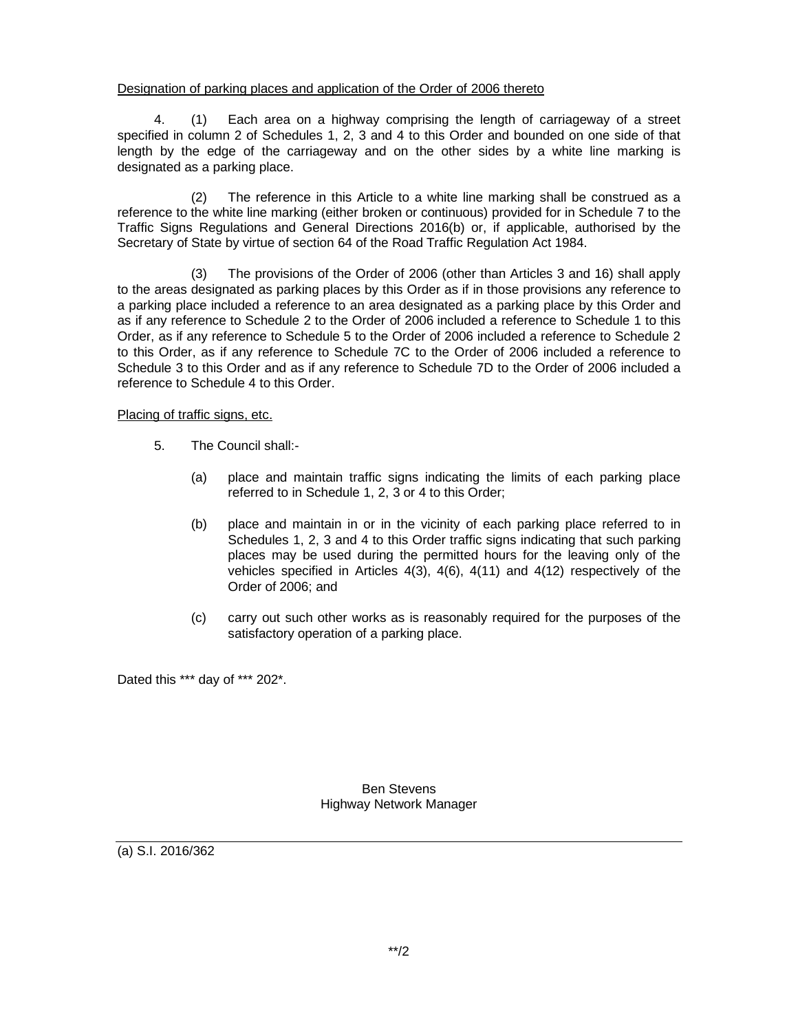#### Designation of parking places and application of the Order of 2006 thereto

4. (1) Each area on a highway comprising the length of carriageway of a street specified in column 2 of Schedules 1, 2, 3 and 4 to this Order and bounded on one side of that length by the edge of the carriageway and on the other sides by a white line marking is designated as a parking place.

(2) The reference in this Article to a white line marking shall be construed as a reference to the white line marking (either broken or continuous) provided for in Schedule 7 to the Traffic Signs Regulations and General Directions 2016(b) or, if applicable, authorised by the Secretary of State by virtue of section 64 of the Road Traffic Regulation Act 1984.

(3) The provisions of the Order of 2006 (other than Articles 3 and 16) shall apply to the areas designated as parking places by this Order as if in those provisions any reference to a parking place included a reference to an area designated as a parking place by this Order and as if any reference to Schedule 2 to the Order of 2006 included a reference to Schedule 1 to this Order, as if any reference to Schedule 5 to the Order of 2006 included a reference to Schedule 2 to this Order, as if any reference to Schedule 7C to the Order of 2006 included a reference to Schedule 3 to this Order and as if any reference to Schedule 7D to the Order of 2006 included a reference to Schedule 4 to this Order.

## Placing of traffic signs, etc.

- 5. The Council shall:-
	- (a) place and maintain traffic signs indicating the limits of each parking place referred to in Schedule 1, 2, 3 or 4 to this Order;
	- (b) place and maintain in or in the vicinity of each parking place referred to in Schedules 1, 2, 3 and 4 to this Order traffic signs indicating that such parking places may be used during the permitted hours for the leaving only of the vehicles specified in Articles  $4(3)$ ,  $4(6)$ ,  $4(11)$  and  $4(12)$  respectively of the Order of 2006; and
	- (c) carry out such other works as is reasonably required for the purposes of the satisfactory operation of a parking place.

Dated this \*\*\* day of \*\*\* 202\*.

Ben Stevens Highway Network Manager

(a) S.I. 2016/362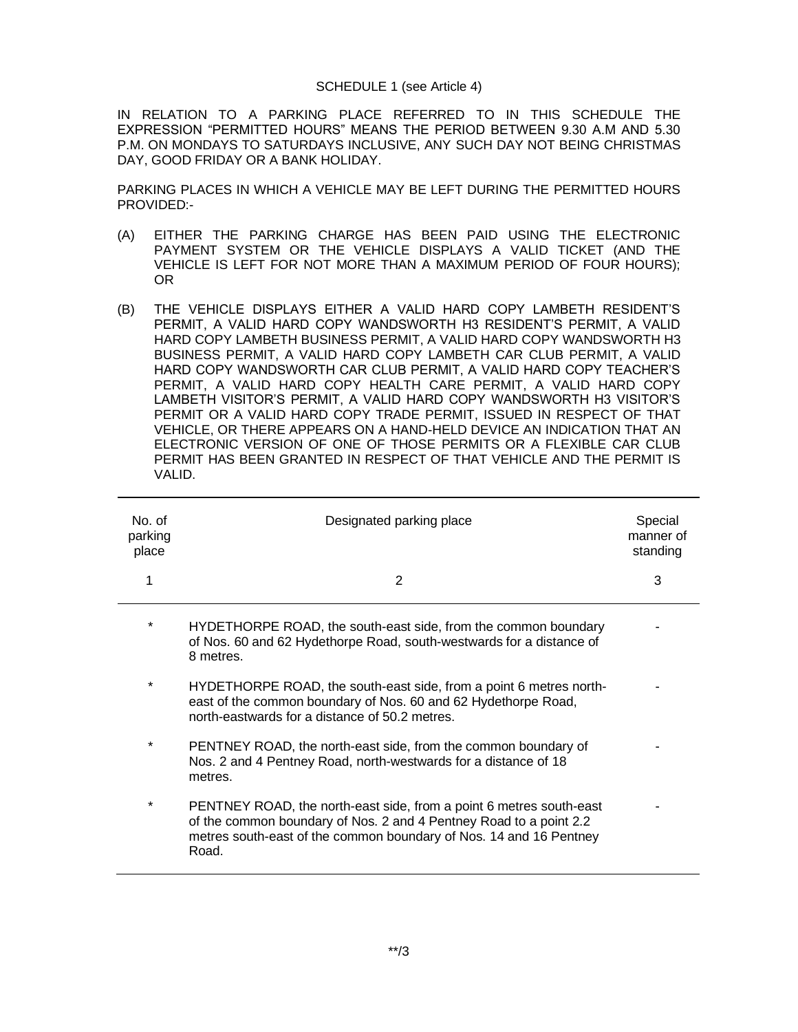#### SCHEDULE 1 (see Article 4)

IN RELATION TO A PARKING PLACE REFERRED TO IN THIS SCHEDULE THE EXPRESSION "PERMITTED HOURS" MEANS THE PERIOD BETWEEN 9.30 A.M AND 5.30 P.M. ON MONDAYS TO SATURDAYS INCLUSIVE, ANY SUCH DAY NOT BEING CHRISTMAS DAY, GOOD FRIDAY OR A BANK HOLIDAY.

PARKING PLACES IN WHICH A VEHICLE MAY BE LEFT DURING THE PERMITTED HOURS PROVIDED:-

- (A) EITHER THE PARKING CHARGE HAS BEEN PAID USING THE ELECTRONIC PAYMENT SYSTEM OR THE VEHICLE DISPLAYS A VALID TICKET (AND THE VEHICLE IS LEFT FOR NOT MORE THAN A MAXIMUM PERIOD OF FOUR HOURS); OR
- (B) THE VEHICLE DISPLAYS EITHER A VALID HARD COPY LAMBETH RESIDENT'S PERMIT, A VALID HARD COPY WANDSWORTH H3 RESIDENT'S PERMIT, A VALID HARD COPY LAMBETH BUSINESS PERMIT, A VALID HARD COPY WANDSWORTH H3 BUSINESS PERMIT, A VALID HARD COPY LAMBETH CAR CLUB PERMIT, A VALID HARD COPY WANDSWORTH CAR CLUB PERMIT, A VALID HARD COPY TEACHER'S PERMIT, A VALID HARD COPY HEALTH CARE PERMIT, A VALID HARD COPY LAMBETH VISITOR'S PERMIT, A VALID HARD COPY WANDSWORTH H3 VISITOR'S PERMIT OR A VALID HARD COPY TRADE PERMIT, ISSUED IN RESPECT OF THAT VEHICLE, OR THERE APPEARS ON A HAND-HELD DEVICE AN INDICATION THAT AN ELECTRONIC VERSION OF ONE OF THOSE PERMITS OR A FLEXIBLE CAR CLUB PERMIT HAS BEEN GRANTED IN RESPECT OF THAT VEHICLE AND THE PERMIT IS VALID.

| No. of<br>parking<br>place | Designated parking place                                                                                                                                                                                                 | Special<br>manner of<br>standing |
|----------------------------|--------------------------------------------------------------------------------------------------------------------------------------------------------------------------------------------------------------------------|----------------------------------|
|                            | 2                                                                                                                                                                                                                        | 3                                |
| $\star$                    | HYDETHORPE ROAD, the south-east side, from the common boundary<br>of Nos. 60 and 62 Hydethorpe Road, south-westwards for a distance of<br>8 metres.                                                                      |                                  |
| $\star$                    | HYDETHORPE ROAD, the south-east side, from a point 6 metres north-<br>east of the common boundary of Nos. 60 and 62 Hydethorpe Road,<br>north-eastwards for a distance of 50.2 metres.                                   |                                  |
| *                          | PENTNEY ROAD, the north-east side, from the common boundary of<br>Nos. 2 and 4 Pentney Road, north-westwards for a distance of 18<br>metres.                                                                             |                                  |
| *                          | PENTNEY ROAD, the north-east side, from a point 6 metres south-east<br>of the common boundary of Nos. 2 and 4 Pentney Road to a point 2.2<br>metres south-east of the common boundary of Nos. 14 and 16 Pentney<br>Road. |                                  |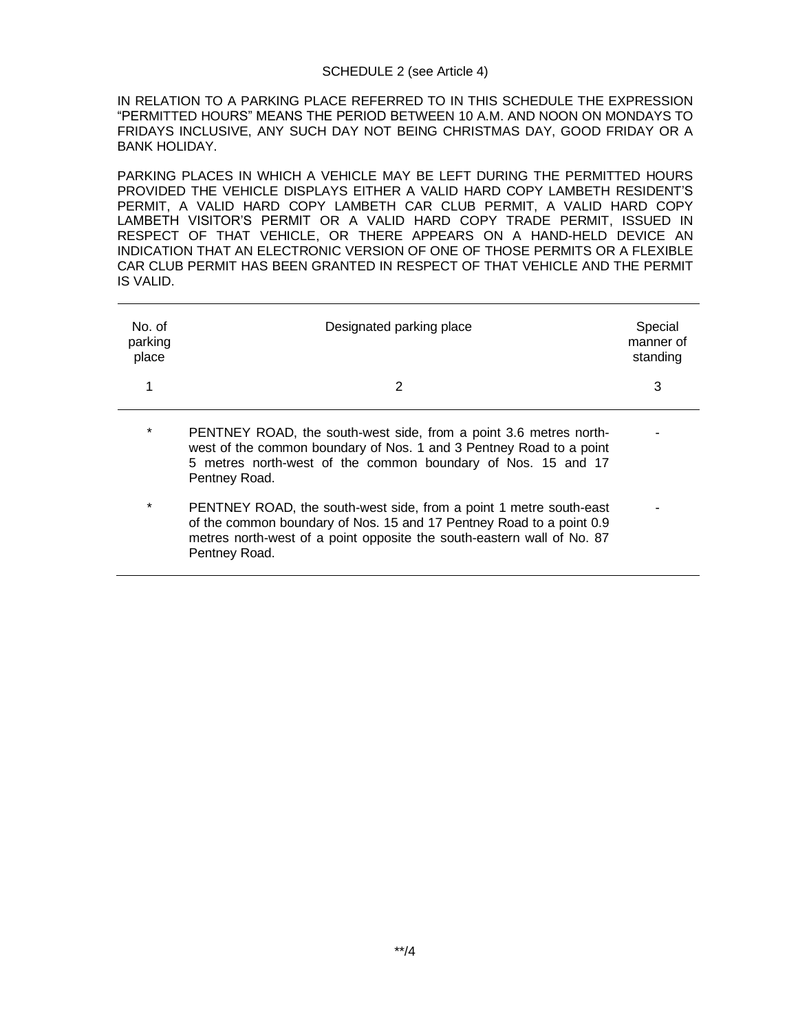## SCHEDULE 2 (see Article 4)

IN RELATION TO A PARKING PLACE REFERRED TO IN THIS SCHEDULE THE EXPRESSION "PERMITTED HOURS" MEANS THE PERIOD BETWEEN 10 A.M. AND NOON ON MONDAYS TO FRIDAYS INCLUSIVE, ANY SUCH DAY NOT BEING CHRISTMAS DAY, GOOD FRIDAY OR A BANK HOLIDAY.

PARKING PLACES IN WHICH A VEHICLE MAY BE LEFT DURING THE PERMITTED HOURS PROVIDED THE VEHICLE DISPLAYS EITHER A VALID HARD COPY LAMBETH RESIDENT'S PERMIT, A VALID HARD COPY LAMBETH CAR CLUB PERMIT, A VALID HARD COPY LAMBETH VISITOR'S PERMIT OR A VALID HARD COPY TRADE PERMIT, ISSUED IN RESPECT OF THAT VEHICLE, OR THERE APPEARS ON A HAND-HELD DEVICE AN INDICATION THAT AN ELECTRONIC VERSION OF ONE OF THOSE PERMITS OR A FLEXIBLE CAR CLUB PERMIT HAS BEEN GRANTED IN RESPECT OF THAT VEHICLE AND THE PERMIT IS VALID.

| No. of<br>parking<br>place | Designated parking place                                                                                                                                                                                                              | Special<br>manner of<br>standing |
|----------------------------|---------------------------------------------------------------------------------------------------------------------------------------------------------------------------------------------------------------------------------------|----------------------------------|
| 1                          | 2                                                                                                                                                                                                                                     | 3                                |
| $\star$                    | PENTNEY ROAD, the south-west side, from a point 3.6 metres north-<br>west of the common boundary of Nos. 1 and 3 Pentney Road to a point<br>5 metres north-west of the common boundary of Nos. 15 and 17<br>Pentney Road.             |                                  |
| $\star$                    | PENTNEY ROAD, the south-west side, from a point 1 metre south-east<br>of the common boundary of Nos. 15 and 17 Pentney Road to a point 0.9<br>metres north-west of a point opposite the south-eastern wall of No. 87<br>Pentney Road. |                                  |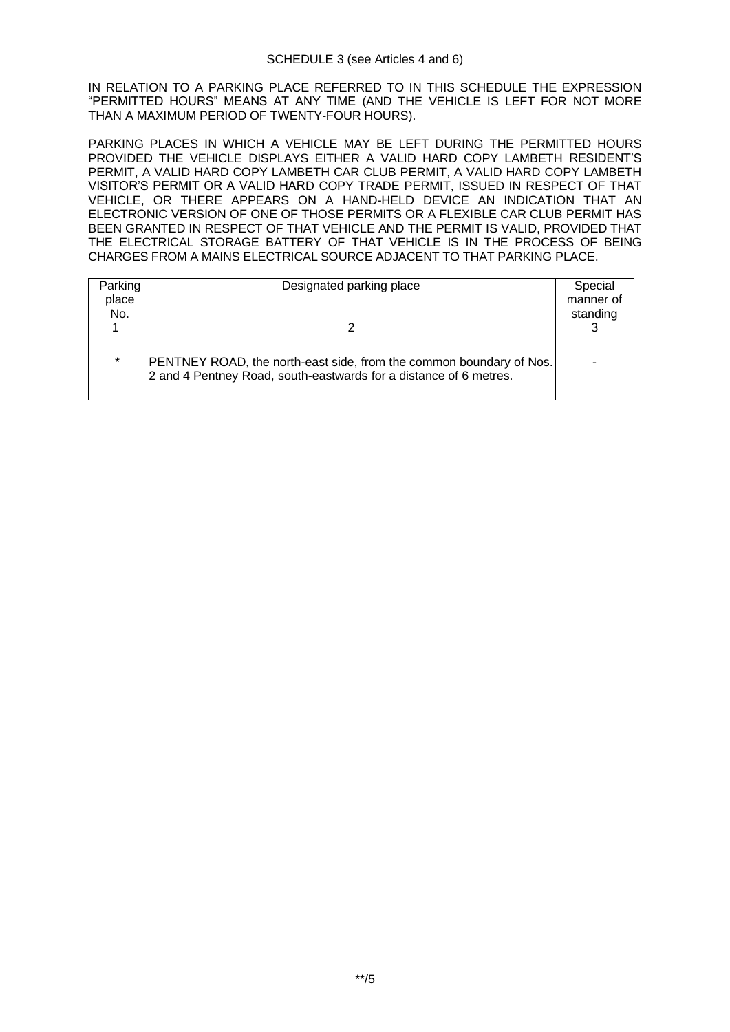IN RELATION TO A PARKING PLACE REFERRED TO IN THIS SCHEDULE THE EXPRESSION "PERMITTED HOURS" MEANS AT ANY TIME (AND THE VEHICLE IS LEFT FOR NOT MORE THAN A MAXIMUM PERIOD OF TWENTY-FOUR HOURS).

PARKING PLACES IN WHICH A VEHICLE MAY BE LEFT DURING THE PERMITTED HOURS PROVIDED THE VEHICLE DISPLAYS EITHER A VALID HARD COPY LAMBETH RESIDENT'S PERMIT, A VALID HARD COPY LAMBETH CAR CLUB PERMIT, A VALID HARD COPY LAMBETH VISITOR'S PERMIT OR A VALID HARD COPY TRADE PERMIT, ISSUED IN RESPECT OF THAT VEHICLE, OR THERE APPEARS ON A HAND-HELD DEVICE AN INDICATION THAT AN ELECTRONIC VERSION OF ONE OF THOSE PERMITS OR A FLEXIBLE CAR CLUB PERMIT HAS BEEN GRANTED IN RESPECT OF THAT VEHICLE AND THE PERMIT IS VALID, PROVIDED THAT THE ELECTRICAL STORAGE BATTERY OF THAT VEHICLE IS IN THE PROCESS OF BEING CHARGES FROM A MAINS ELECTRICAL SOURCE ADJACENT TO THAT PARKING PLACE.

| Parking<br>place<br>No. | Designated parking place                                                                                                                 | Special<br>manner of<br>standing |
|-------------------------|------------------------------------------------------------------------------------------------------------------------------------------|----------------------------------|
| $\star$                 | PENTNEY ROAD, the north-east side, from the common boundary of Nos.<br>2 and 4 Pentney Road, south-eastwards for a distance of 6 metres. |                                  |